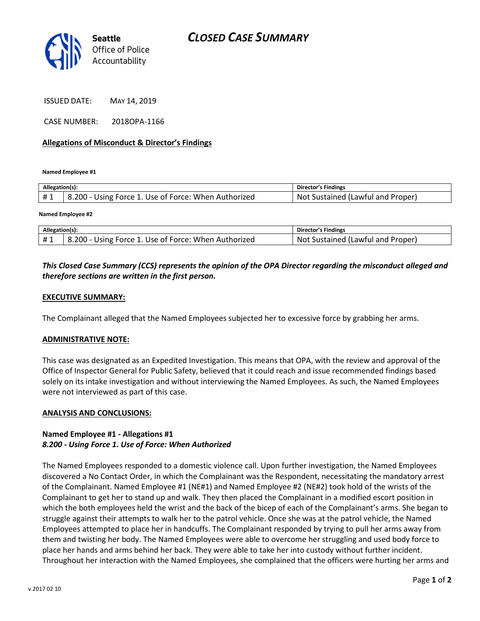

ISSUED DATE: MAY 14, 2019

CASE NUMBER: 2018OPA-1166

### **Allegations of Misconduct & Director's Findings**

**Named Employee #1**

| Allegation(s): |                                                      | Director's Findings               |
|----------------|------------------------------------------------------|-----------------------------------|
| #1             | 8.200 - Using Force 1. Use of Force: When Authorized | Not Sustained (Lawful and Proper) |
|                |                                                      |                                   |

#### **Named Employee #2**

| Allegation(s) |                                                      | Director's Findings                      |
|---------------|------------------------------------------------------|------------------------------------------|
| #1            | 8.200 - Using Force 1. Use of Force: When Authorized | t Sustained (Lawful and Proper)<br>. Not |

## *This Closed Case Summary (CCS) represents the opinion of the OPA Director regarding the misconduct alleged and therefore sections are written in the first person.*

### **EXECUTIVE SUMMARY:**

The Complainant alleged that the Named Employees subjected her to excessive force by grabbing her arms.

#### **ADMINISTRATIVE NOTE:**

This case was designated as an Expedited Investigation. This means that OPA, with the review and approval of the Office of Inspector General for Public Safety, believed that it could reach and issue recommended findings based solely on its intake investigation and without interviewing the Named Employees. As such, the Named Employees were not interviewed as part of this case.

#### **ANALYSIS AND CONCLUSIONS:**

## **Named Employee #1 - Allegations #1** *8.200 - Using Force 1. Use of Force: When Authorized*

The Named Employees responded to a domestic violence call. Upon further investigation, the Named Employees discovered a No Contact Order, in which the Complainant was the Respondent, necessitating the mandatory arrest of the Complainant. Named Employee #1 (NE#1) and Named Employee #2 (NE#2) took hold of the wrists of the Complainant to get her to stand up and walk. They then placed the Complainant in a modified escort position in which the both employees held the wrist and the back of the bicep of each of the Complainant's arms. She began to struggle against their attempts to walk her to the patrol vehicle. Once she was at the patrol vehicle, the Named Employees attempted to place her in handcuffs. The Complainant responded by trying to pull her arms away from them and twisting her body. The Named Employees were able to overcome her struggling and used body force to place her hands and arms behind her back. They were able to take her into custody without further incident. Throughout her interaction with the Named Employees, she complained that the officers were hurting her arms and